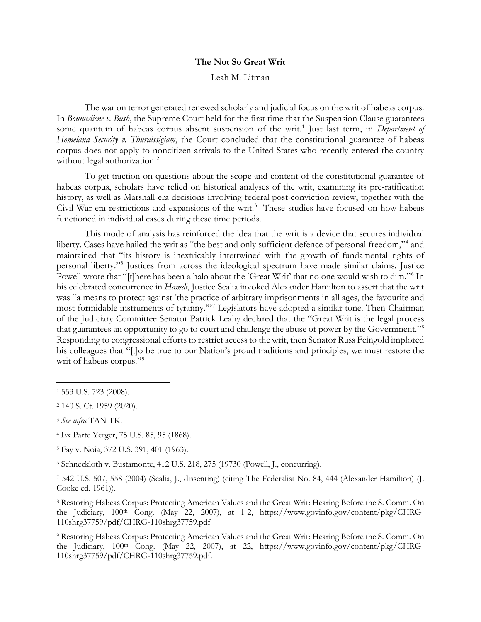## **The Not So Great Writ**

## Leah M. Litman

The war on terror generated renewed scholarly and judicial focus on the writ of habeas corpus. In *Boumediene v. Bush*, the Supreme Court held for the first time that the Suspension Clause guarantees some quantum of habeas corpus absent suspension of the writ.<sup>[1](#page-0-0)</sup> Just last term, in *Department of Homeland Security v. Thuraissigiam*, the Court concluded that the constitutional guarantee of habeas corpus does not apply to noncitizen arrivals to the United States who recently entered the country without legal authorization.<sup>[2](#page-0-1)</sup>

To get traction on questions about the scope and content of the constitutional guarantee of habeas corpus, scholars have relied on historical analyses of the writ, examining its pre-ratification history, as well as Marshall-era decisions involving federal post-conviction review, together with the Civil War era restrictions and expansions of the writ.<sup>[3](#page-0-2)</sup> These studies have focused on how habeas functioned in individual cases during these time periods.

This mode of analysis has reinforced the idea that the writ is a device that secures individual liberty. Cases have hailed the writ as "the best and only sufficient defence of personal freedom,"[4](#page-0-3) and maintained that "its history is inextricably intertwined with the growth of fundamental rights of personal liberty.["5](#page-0-4) Justices from across the ideological spectrum have made similar claims. Justice Powell wrote that "[t]here has been a halo about the 'Great Writ' that no one would wish to dim."[6](#page-0-5) In his celebrated concurrence in *Hamdi*, Justice Scalia invoked Alexander Hamilton to assert that the writ was "a means to protect against 'the practice of arbitrary imprisonments in all ages, the favourite and most formidable instruments of tyranny.'"[7](#page-0-6) Legislators have adopted a similar tone. Then-Chairman of the Judiciary Committee Senator Patrick Leahy declared that the "Great Writ is the legal process that guarantees an opportunity to go to court and challenge the abuse of power by the Government."[8](#page-0-7) Responding to congressional efforts to restrict access to the writ, then Senator Russ Feingold implored his colleagues that "[t]o be true to our Nation's proud traditions and principles, we must restore the writ of habeas corpus."<sup>[9](#page-0-8)</sup>

 $\overline{a}$ 

- <span id="page-0-3"></span><sup>4</sup> Ex Parte Yerger, 75 U.S. 85, 95 (1868).
- <span id="page-0-4"></span><sup>5</sup> Fay v. Noia, 372 U.S. 391, 401 (1963).

<span id="page-0-7"></span><sup>8</sup> Restoring Habeas Corpus: Protecting American Values and the Great Writ: Hearing Before the S. Comm. On the Judiciary, 100<sup>th</sup> Cong. (May 22, 2007), at 1-2, https://www.govinfo.gov/content/pkg/CHRG-110shrg37759/pdf/CHRG-110shrg37759.pdf

<span id="page-0-8"></span><sup>9</sup> Restoring Habeas Corpus: Protecting American Values and the Great Writ: Hearing Before the S. Comm. On the Judiciary, 100th Cong. (May 22, 2007), at 22, https://www.govinfo.gov/content/pkg/CHRG-110shrg37759/pdf/CHRG-110shrg37759.pdf.

<span id="page-0-0"></span><sup>1</sup> 553 U.S. 723 (2008).

<span id="page-0-1"></span><sup>2</sup> 140 S. Ct. 1959 (2020).

<span id="page-0-2"></span><sup>3</sup> *See infra* TAN TK.

<span id="page-0-5"></span><sup>6</sup> Schneckloth v. Bustamonte, 412 U.S. 218, 275 (19730 (Powell, J., concurring).

<span id="page-0-6"></span><sup>7</sup> 542 U.S. 507, 558 (2004) (Scalia, J., dissenting) (citing The Federalist No. 84, 444 (Alexander Hamilton) (J. Cooke ed. 1961)).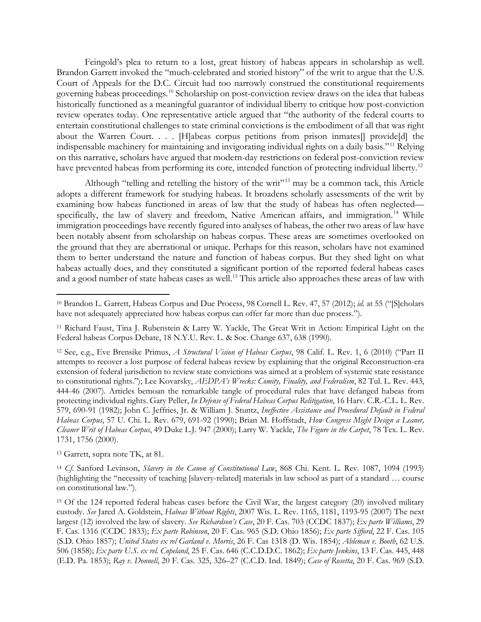Feingold's plea to return to a lost, great history of habeas appears in scholarship as well. Brandon Garrett invoked the "much-celebrated and storied history" of the writ to argue that the U.S. Court of Appeals for the D.C. Circuit had too narrowly construed the constitutional requirements governing habeas proceedings.[10](#page-1-0) Scholarship on post-conviction review draws on the idea that habeas historically functioned as a meaningful guarantor of individual liberty to critique how post-conviction review operates today. One representative article argued that "the authority of the federal courts to entertain constitutional challenges to state criminal convictions is the embodiment of all that was right about the Warren Court. . . . [H]abeas corpus petitions from prison inmates[] provide[d] the indispensable machinery for maintaining and invigorating individual rights on a daily basis."[11](#page-1-1) Relying on this narrative, scholars have argued that modern-day restrictions on federal post-conviction review have prevented habeas from performing its core, intended function of protecting individual liberty.<sup>[12](#page-1-2)</sup>

Although "telling and retelling the history of the writ"<sup>[13](#page-1-3)</sup> may be a common tack, this Article adopts a different framework for studying habeas. It broadens scholarly assessments of the writ by examining how habeas functioned in areas of law that the study of habeas has often neglected— specifically, the law of slavery and freedom, Native American affairs, and immigration.<sup>[14](#page-1-4)</sup> While immigration proceedings have recently figured into analyses of habeas, the other two areas of law have been notably absent from scholarship on habeas corpus. These areas are sometimes overlooked on the ground that they are aberrational or unique. Perhaps for this reason, scholars have not examined them to better understand the nature and function of habeas corpus. But they shed light on what habeas actually does, and they constituted a significant portion of the reported federal habeas cases and a good number of state habeas cases as well.<sup>[15](#page-1-5)</sup> This article also approaches these areas of law with

<span id="page-1-3"></span><sup>13</sup> Garrett, supra note TK, at 81.

 $\overline{a}$ 

<span id="page-1-4"></span><sup>14</sup> *Cf.* Sanford Levinson, *Slavery in the Canon of Constitutional Law*, 868 Chi. Kent. L. Rev. 1087, 1094 (1993) (highlighting the "necessity of teaching [slavery-related] materials in law school as part of a standard … course on constitutional law.").

<span id="page-1-5"></span><sup>15</sup> Of the 124 reported federal habeas cases before the Civil War, the largest category (20) involved military custody. *See* Jared A. Goldstein, *Habeas Without Rights*, 2007 Wis. L. Rev. 1165, 1181, 1193-95 (2007) The next largest (12) involved the law of slavery. *See Richardson's Case*, 20 F. Cas. 703 (CCDC 1837); *Ex parte Williams*, 29 F. Cas. 1316 (CCDC 1833); *Ex parte Robinson*, 20 F. Cas. 965 (S.D. Ohio 1856); *Ex parte Sifford*, 22 F. Cas. 105 (S.D. Ohio 1857); *United States ex rel Garland v. Morris*, 26 F. Cas 1318 (D. Wis. 1854); *Ableman v. Booth*, 62 U.S. 506 (1858); *Ex parte U.S. ex rel. Copeland*, 25 F. Cas. 646 (C.C.D.D.C. 1862); *Ex parte Jenkins*, 13 F. Cas. 445, 448 (E.D. Pa. 1853); *Ray v. Donnell*, 20 F. Cas. 325, 326–27 (C.C.D. Ind. 1849); *Case of Rosetta*, 20 F. Cas. 969 (S.D.

<span id="page-1-0"></span><sup>10</sup> Brandon L. Garrett, Habeas Corpus and Due Process, 98 Cornell L. Rev. 47, 57 (2012); *id.* at 55 ("[S]cholars have not adequately appreciated how habeas corpus can offer far more than due process.").

<span id="page-1-1"></span><sup>11</sup> Richard Faust, Tina J. Rubenstein & Larry W. Yackle, The Great Writ in Action: Empirical Light on the Federal habeas Corpus Debate, 18 N.Y.U. Rev. L. & Soc. Change 637, 638 (1990).

<span id="page-1-2"></span><sup>12</sup> See, e.g., Eve Brensike Primus, *A Structural Vision of Habeas Corpus*, 98 Calif. L. Rev. 1, 6 (2010) ("Part II attempts to recover a lost purpose of federal habeas review by explaining that the original Reconstruction-era extension of federal jurisdiction to review state convictions was aimed at a problem of systemic state resistance to constitutional rights."); Lee Kovarsky, *AEDPA's Wrecks: Comity, Finality, and Federalism*, 82 Tul. L. Rev. 443, 444-46 (2007). Articles bemoan the remarkable tangle of procedural rules that have defanged habeas from protecting individual rights. Gary Peller, *In Defense of Federal Habeas Corpus Relitigation*, 16 Harv. C.R.-C.L. L. Rev. 579, 690-91 (1982); John C. Jeffries, Jr. & William J. Stuntz, *Ineffective Assistance and Procedural Default in Federal Habeas Corpus*, 57 U. Chi. L. Rev. 679, 691-92 (1990); Brian M. Hoffstadt, *How Congress Might Design a Leaner, Cleaner Writ of Habeas Corpus*, 49 Duke L.J. 947 (2000); Larry W. Yackle, *The Figure in the Carpet*, 78 Tex. L. Rev. 1731, 1756 (2000).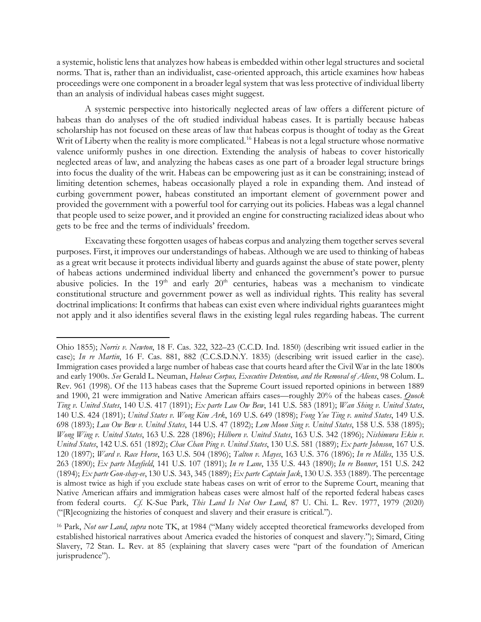a systemic, holistic lens that analyzes how habeas is embedded within other legal structures and societal norms. That is, rather than an individualist, case-oriented approach, this article examines how habeas proceedings were one component in a broader legal system that was less protective of individual liberty than an analysis of individual habeas cases might suggest.

A systemic perspective into historically neglected areas of law offers a different picture of habeas than do analyses of the oft studied individual habeas cases. It is partially because habeas scholarship has not focused on these areas of law that habeas corpus is thought of today as the Great Writ of Liberty when the reality is more complicated.<sup>[16](#page-2-0)</sup> Habeas is not a legal structure whose normative valence uniformly pushes in one direction. Extending the analysis of habeas to cover historically neglected areas of law, and analyzing the habeas cases as one part of a broader legal structure brings into focus the duality of the writ. Habeas can be empowering just as it can be constraining; instead of limiting detention schemes, habeas occasionally played a role in expanding them. And instead of curbing government power, habeas constituted an important element of government power and provided the government with a powerful tool for carrying out its policies. Habeas was a legal channel that people used to seize power, and it provided an engine for constructing racialized ideas about who gets to be free and the terms of individuals' freedom.

Excavating these forgotten usages of habeas corpus and analyzing them together serves several purposes. First, it improves our understandings of habeas. Although we are used to thinking of habeas as a great writ because it protects individual liberty and guards against the abuse of state power, plenty of habeas actions undermined individual liberty and enhanced the government's power to pursue abusive policies. In the  $19<sup>th</sup>$  and early  $20<sup>th</sup>$  centuries, habeas was a mechanism to vindicate constitutional structure and government power as well as individual rights. This reality has several doctrinal implications: It confirms that habeas can exist even where individual rights guarantees might not apply and it also identifies several flaws in the existing legal rules regarding habeas. The current

 $\overline{a}$ 

Ohio 1855); *Norris v. Newton*, 18 F. Cas. 322, 322–23 (C.C.D. Ind. 1850) (describing writ issued earlier in the case); *In re Martin*, 16 F. Cas. 881, 882 (C.C.S.D.N.Y. 1835) (describing writ issued earlier in the case). Immigration cases provided a large number of habeas case that courts heard after the Civil War in the late 1800s and early 1900s. *See* Gerald L. Neuman, *Habeas Corpus, Executive Detention, and the Removal of Aliens*, 98 Colum. L. Rev. 961 (1998). Of the 113 habeas cases that the Supreme Court issued reported opinions in between 1889 and 1900, 21 were immigration and Native American affairs cases—roughly 20% of the habeas cases. *Quock Ting v. United States*, 140 U.S. 417 (1891); *Ex parte Lau Ow Bew*, 141 U.S. 583 (1891); *Wan Shing v. United States*, 140 U.S. 424 (1891); *United States v. Wong Kim Ark*, 169 U.S. 649 (1898); *Fong Yue Ting v. united States*, 149 U.S. 698 (1893); *Lau Ow Bew v. United States*, 144 U.S. 47 (1892); *Lem Moon Sing v. United States*, 158 U.S. 538 (1895); *Wong Wing v. United States*, 163 U.S. 228 (1896); *Hilborn v. United States*, 163 U.S. 342 (1896); *Nishimura Ekiu v. United States*, 142 U.S. 651 (1892); *Chae Chan Ping v. United States*, 130 U.S. 581 (1889); *Ex parte Johnson*, 167 U.S. 120 (1897); *Ward v. Race Horse*, 163 U.S. 504 (1896); *Talton v. Mayes*, 163 U.S. 376 (1896); *In re Milles*, 135 U.S. 263 (1890); *Ex parte Mayfield*, 141 U.S. 107 (1891); *In re Lane*, 135 U.S. 443 (1890); *In re Bonner*, 151 U.S. 242 (1894); *Ex parte Gon-shay-ee*, 130 U.S. 343, 345 (1889); *Ex parte Captain Jack*, 130 U.S. 353 (1889). The percentage is almost twice as high if you exclude state habeas cases on writ of error to the Supreme Court, meaning that Native American affairs and immigration habeas cases were almost half of the reported federal habeas cases from federal courts. *Cf.* K-Sue Park, *This Land Is Not Our Land*, 87 U. Chi. L. Rev. 1977, 1979 (2020) ("[R]ecognizing the histories of conquest and slavery and their erasure is critical.").

<span id="page-2-0"></span><sup>16</sup> Park, *Not our Land*, *supra* note TK, at 1984 ("Many widely accepted theoretical frameworks developed from established historical narratives about America evaded the histories of conquest and slavery."); Simard, Citing Slavery, 72 Stan. L. Rev. at 85 (explaining that slavery cases were "part of the foundation of American jurisprudence").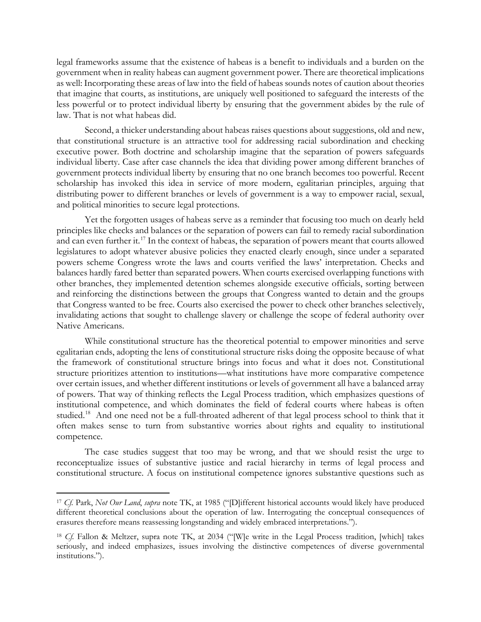legal frameworks assume that the existence of habeas is a benefit to individuals and a burden on the government when in reality habeas can augment government power. There are theoretical implications as well: Incorporating these areas of law into the field of habeas sounds notes of caution about theories that imagine that courts, as institutions, are uniquely well positioned to safeguard the interests of the less powerful or to protect individual liberty by ensuring that the government abides by the rule of law. That is not what habeas did.

Second, a thicker understanding about habeas raises questions about suggestions, old and new, that constitutional structure is an attractive tool for addressing racial subordination and checking executive power. Both doctrine and scholarship imagine that the separation of powers safeguards individual liberty. Case after case channels the idea that dividing power among different branches of government protects individual liberty by ensuring that no one branch becomes too powerful. Recent scholarship has invoked this idea in service of more modern, egalitarian principles, arguing that distributing power to different branches or levels of government is a way to empower racial, sexual, and political minorities to secure legal protections.

Yet the forgotten usages of habeas serve as a reminder that focusing too much on dearly held principles like checks and balances or the separation of powers can fail to remedy racial subordination and can even further it.<sup>[17](#page-3-0)</sup> In the context of habeas, the separation of powers meant that courts allowed legislatures to adopt whatever abusive policies they enacted clearly enough, since under a separated powers scheme Congress wrote the laws and courts verified the laws' interpretation. Checks and balances hardly fared better than separated powers. When courts exercised overlapping functions with other branches, they implemented detention schemes alongside executive officials, sorting between and reinforcing the distinctions between the groups that Congress wanted to detain and the groups that Congress wanted to be free. Courts also exercised the power to check other branches selectively, invalidating actions that sought to challenge slavery or challenge the scope of federal authority over Native Americans.

While constitutional structure has the theoretical potential to empower minorities and serve egalitarian ends, adopting the lens of constitutional structure risks doing the opposite because of what the framework of constitutional structure brings into focus and what it does not. Constitutional structure prioritizes attention to institutions—what institutions have more comparative competence over certain issues, and whether different institutions or levels of government all have a balanced array of powers. That way of thinking reflects the Legal Process tradition, which emphasizes questions of institutional competence, and which dominates the field of federal courts where habeas is often studied.<sup>[18](#page-3-1)</sup> And one need not be a full-throated adherent of that legal process school to think that it often makes sense to turn from substantive worries about rights and equality to institutional competence.

The case studies suggest that too may be wrong, and that we should resist the urge to reconceptualize issues of substantive justice and racial hierarchy in terms of legal process and constitutional structure. A focus on institutional competence ignores substantive questions such as

 $\overline{a}$ 

<span id="page-3-0"></span><sup>17</sup> *Cf.* Park, *Not Our Land*, *supra* note TK, at 1985 ("[D]ifferent historical accounts would likely have produced different theoretical conclusions about the operation of law. Interrogating the conceptual consequences of erasures therefore means reassessing longstanding and widely embraced interpretations.").

<span id="page-3-1"></span><sup>18</sup> *Cf.* Fallon & Meltzer, supra note TK, at 2034 ("[W]e write in the Legal Process tradition, [which] takes seriously, and indeed emphasizes, issues involving the distinctive competences of diverse governmental institutions.").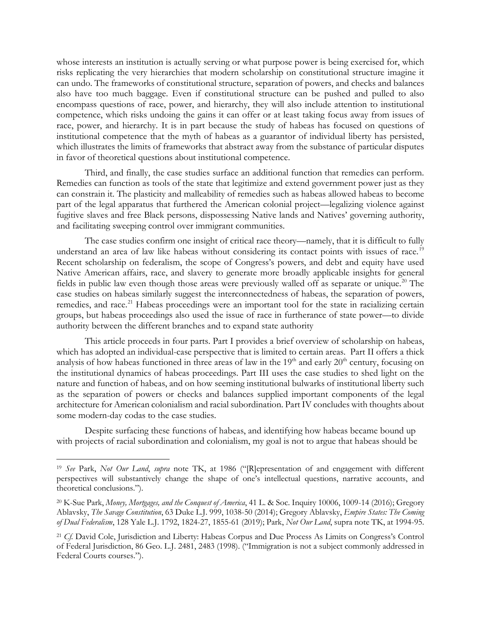whose interests an institution is actually serving or what purpose power is being exercised for, which risks replicating the very hierarchies that modern scholarship on constitutional structure imagine it can undo. The frameworks of constitutional structure, separation of powers, and checks and balances also have too much baggage. Even if constitutional structure can be pushed and pulled to also encompass questions of race, power, and hierarchy, they will also include attention to institutional competence, which risks undoing the gains it can offer or at least taking focus away from issues of race, power, and hierarchy. It is in part because the study of habeas has focused on questions of institutional competence that the myth of habeas as a guarantor of individual liberty has persisted, which illustrates the limits of frameworks that abstract away from the substance of particular disputes in favor of theoretical questions about institutional competence.

Third, and finally, the case studies surface an additional function that remedies can perform. Remedies can function as tools of the state that legitimize and extend government power just as they can constrain it. The plasticity and malleability of remedies such as habeas allowed habeas to become part of the legal apparatus that furthered the American colonial project—legalizing violence against fugitive slaves and free Black persons, dispossessing Native lands and Natives' governing authority, and facilitating sweeping control over immigrant communities.

The case studies confirm one insight of critical race theory—namely, that it is difficult to fully understand an area of law like habeas without considering its contact points with issues of race.<sup>[19](#page-4-0)</sup> Recent scholarship on federalism, the scope of Congress's powers, and debt and equity have used Native American affairs, race, and slavery to generate more broadly applicable insights for general fields in public law even though those areas were previously walled off as separate or unique.<sup>20</sup> The case studies on habeas similarly suggest the interconnectedness of habeas, the separation of powers, remedies, and race.<sup>[21](#page-4-2)</sup> Habeas proceedings were an important tool for the state in racializing certain groups, but habeas proceedings also used the issue of race in furtherance of state power—to divide authority between the different branches and to expand state authority

This article proceeds in four parts. Part I provides a brief overview of scholarship on habeas, which has adopted an individual-case perspective that is limited to certain areas. Part II offers a thick analysis of how habeas functioned in three areas of law in the 19<sup>th</sup> and early 20<sup>th</sup> century, focusing on the institutional dynamics of habeas proceedings. Part III uses the case studies to shed light on the nature and function of habeas, and on how seeming institutional bulwarks of institutional liberty such as the separation of powers or checks and balances supplied important components of the legal architecture for American colonialism and racial subordination. Part IV concludes with thoughts about some modern-day codas to the case studies.

Despite surfacing these functions of habeas, and identifying how habeas became bound up with projects of racial subordination and colonialism, my goal is not to argue that habeas should be

 $\overline{a}$ 

<span id="page-4-0"></span><sup>19</sup> *See* Park, *Not Our Land*, *supra* note TK, at 1986 ("[R]epresentation of and engagement with different perspectives will substantively change the shape of one's intellectual questions, narrative accounts, and theoretical conclusions.").

<span id="page-4-1"></span><sup>20</sup> K-Sue Park, *Money, Mortgages, and the Conquest of America*, 41 L. & Soc. Inquiry 10006, 1009-14 (2016); Gregory Ablavsky, *The Savage Constitution*, 63 Duke L.J. 999, 1038-50 (2014); Gregory Ablavsky, *Empire States: The Coming of Dual Federalism*, 128 Yale L.J. 1792, 1824-27, 1855-61 (2019); Park, *Not Our Land*, supra note TK, at 1994-95.

<span id="page-4-2"></span><sup>21</sup> *Cf.* David Cole, Jurisdiction and Liberty: Habeas Corpus and Due Process As Limits on Congress's Control of Federal Jurisdiction, 86 Geo. L.J. 2481, 2483 (1998). ("Immigration is not a subject commonly addressed in Federal Courts courses.").